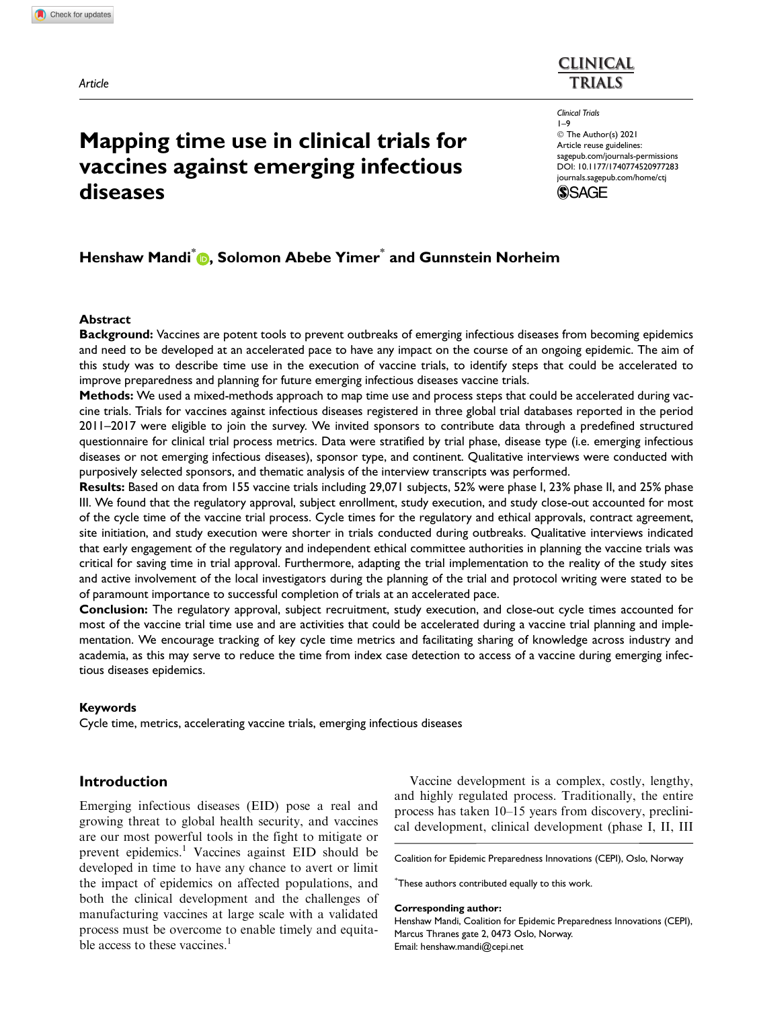Article

# Mapping time use in clinical trials for vaccines against emerging infectious diseases

# **CLINICAL TRIALS**

Clinical Trials 1–9 © The Author(s) 2021 Article reuse guidelines: [sagepub.com/journals-permissions](https://uk.sagepub.com/en-gb/journals-permissions) [DOI: 10.1177/1740774520977283](https://doi.org/10.1177/1740774520977283) <journals.sagepub.com/home/ctj>



# Henshaw Mandi<sup>\*</sup> D, Solomon Abebe Yimer<sup>\*</sup> and Gunnstein Norheim

### Abstract

Background: Vaccines are potent tools to prevent outbreaks of emerging infectious diseases from becoming epidemics and need to be developed at an accelerated pace to have any impact on the course of an ongoing epidemic. The aim of this study was to describe time use in the execution of vaccine trials, to identify steps that could be accelerated to improve preparedness and planning for future emerging infectious diseases vaccine trials.

Methods: We used a mixed-methods approach to map time use and process steps that could be accelerated during vaccine trials. Trials for vaccines against infectious diseases registered in three global trial databases reported in the period 2011–2017 were eligible to join the survey. We invited sponsors to contribute data through a predefined structured questionnaire for clinical trial process metrics. Data were stratified by trial phase, disease type (i.e. emerging infectious diseases or not emerging infectious diseases), sponsor type, and continent. Qualitative interviews were conducted with purposively selected sponsors, and thematic analysis of the interview transcripts was performed.

Results: Based on data from 155 vaccine trials including 29,071 subjects, 52% were phase I, 23% phase II, and 25% phase III. We found that the regulatory approval, subject enrollment, study execution, and study close-out accounted for most of the cycle time of the vaccine trial process. Cycle times for the regulatory and ethical approvals, contract agreement, site initiation, and study execution were shorter in trials conducted during outbreaks. Qualitative interviews indicated that early engagement of the regulatory and independent ethical committee authorities in planning the vaccine trials was critical for saving time in trial approval. Furthermore, adapting the trial implementation to the reality of the study sites and active involvement of the local investigators during the planning of the trial and protocol writing were stated to be of paramount importance to successful completion of trials at an accelerated pace.

Conclusion: The regulatory approval, subject recruitment, study execution, and close-out cycle times accounted for most of the vaccine trial time use and are activities that could be accelerated during a vaccine trial planning and implementation. We encourage tracking of key cycle time metrics and facilitating sharing of knowledge across industry and academia, as this may serve to reduce the time from index case detection to access of a vaccine during emerging infectious diseases epidemics.

### Keywords

Cycle time, metrics, accelerating vaccine trials, emerging infectious diseases

# Introduction

Emerging infectious diseases (EID) pose a real and growing threat to global health security, and vaccines are our most powerful tools in the fight to mitigate or prevent epidemics.<sup>1</sup> Vaccines against EID should be developed in time to have any chance to avert or limit the impact of epidemics on affected populations, and both the clinical development and the challenges of manufacturing vaccines at large scale with a validated process must be overcome to enable timely and equitable access to these vaccines.<sup>1</sup>

Vaccine development is a complex, costly, lengthy, and highly regulated process. Traditionally, the entire process has taken 10–15 years from discovery, preclinical development, clinical development (phase I, II, III

Coalition for Epidemic Preparedness Innovations (CEPI), Oslo, Norway

\* These authors contributed equally to this work.

#### Corresponding author:

Henshaw Mandi, Coalition for Epidemic Preparedness Innovations (CEPI), Marcus Thranes gate 2, 0473 Oslo, Norway. Email: henshaw.mandi@cepi.net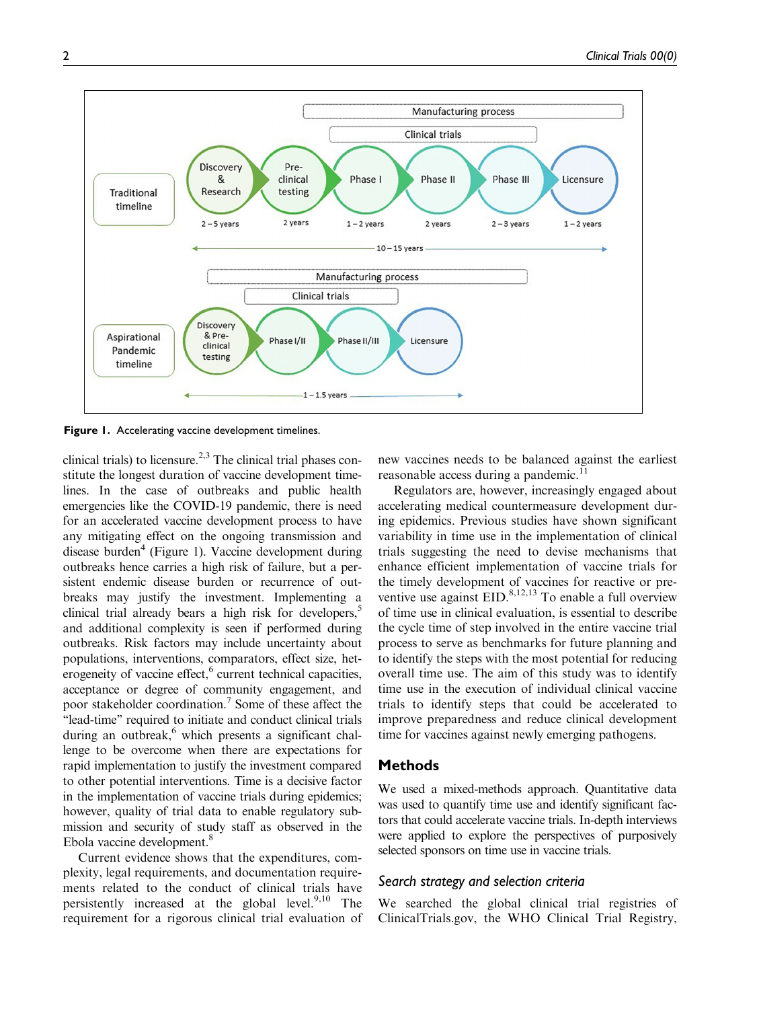

Figure 1. Accelerating vaccine development timelines.

clinical trials) to licensure.<sup>2,3</sup> The clinical trial phases constitute the longest duration of vaccine development timelines. In the case of outbreaks and public health emergencies like the COVID-19 pandemic, there is need for an accelerated vaccine development process to have any mitigating effect on the ongoing transmission and disease burden<sup>4</sup> (Figure 1). Vaccine development during outbreaks hence carries a high risk of failure, but a persistent endemic disease burden or recurrence of outbreaks may justify the investment. Implementing a clinical trial already bears a high risk for developers,<sup>5</sup> and additional complexity is seen if performed during outbreaks. Risk factors may include uncertainty about populations, interventions, comparators, effect size, heterogeneity of vaccine effect, $6$  current technical capacities, acceptance or degree of community engagement, and poor stakeholder coordination.7 Some of these affect the ''lead-time'' required to initiate and conduct clinical trials during an outbreak, $6$  which presents a significant challenge to be overcome when there are expectations for rapid implementation to justify the investment compared to other potential interventions. Time is a decisive factor in the implementation of vaccine trials during epidemics; however, quality of trial data to enable regulatory submission and security of study staff as observed in the Ebola vaccine development.<sup>8</sup>

Current evidence shows that the expenditures, complexity, legal requirements, and documentation requirements related to the conduct of clinical trials have persistently increased at the global level. $9,10$  The requirement for a rigorous clinical trial evaluation of

new vaccines needs to be balanced against the earliest reasonable access during a pandemic.<sup>11</sup>

Regulators are, however, increasingly engaged about accelerating medical countermeasure development during epidemics. Previous studies have shown significant variability in time use in the implementation of clinical trials suggesting the need to devise mechanisms that enhance efficient implementation of vaccine trials for the timely development of vaccines for reactive or preventive use against  $EID$ .<sup>8,12,13</sup> To enable a full overview of time use in clinical evaluation, is essential to describe the cycle time of step involved in the entire vaccine trial process to serve as benchmarks for future planning and to identify the steps with the most potential for reducing overall time use. The aim of this study was to identify time use in the execution of individual clinical vaccine trials to identify steps that could be accelerated to improve preparedness and reduce clinical development time for vaccines against newly emerging pathogens.

## **Methods**

We used a mixed-methods approach. Quantitative data was used to quantify time use and identify significant factors that could accelerate vaccine trials. In-depth interviews were applied to explore the perspectives of purposively selected sponsors on time use in vaccine trials.

### Search strategy and selection criteria

We searched the global clinical trial registries of ClinicalTrials.gov, the WHO Clinical Trial Registry,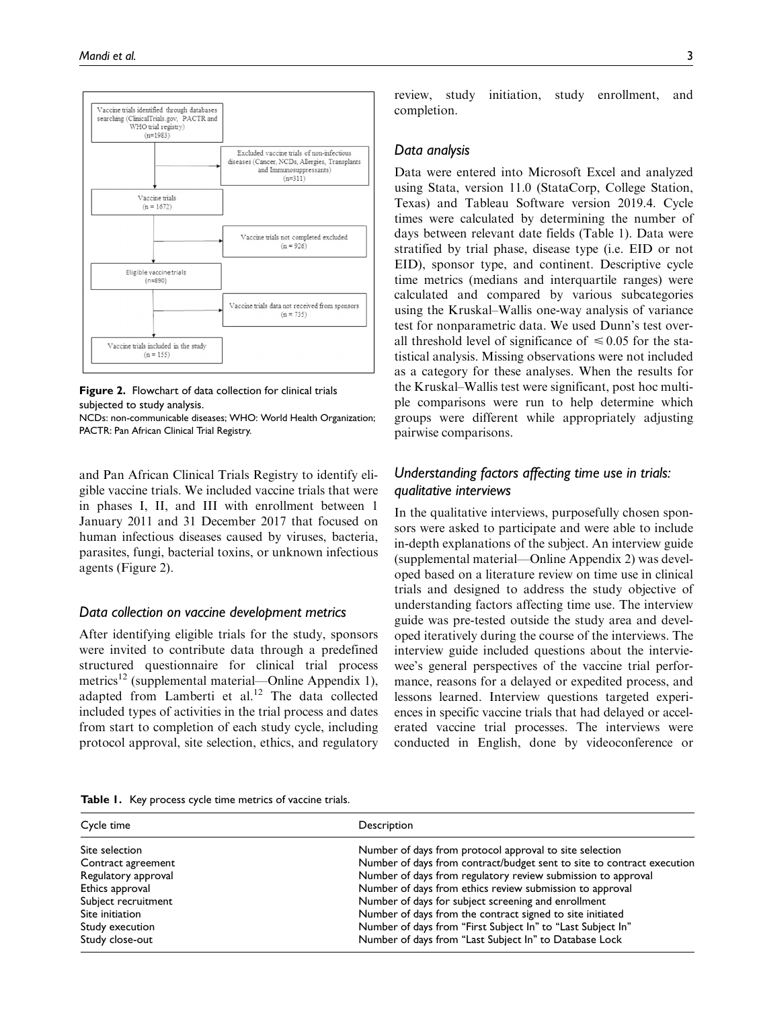

Figure 2. Flowchart of data collection for clinical trials subjected to study analysis.

NCDs: non-communicable diseases; WHO: World Health Organization; PACTR: Pan African Clinical Trial Registry.

and Pan African Clinical Trials Registry to identify eligible vaccine trials. We included vaccine trials that were in phases I, II, and III with enrollment between 1 January 2011 and 31 December 2017 that focused on human infectious diseases caused by viruses, bacteria, parasites, fungi, bacterial toxins, or unknown infectious agents (Figure 2).

### Data collection on vaccine development metrics

After identifying eligible trials for the study, sponsors were invited to contribute data through a predefined structured questionnaire for clinical trial process metrics<sup>12</sup> (supplemental material—Online Appendix 1), adapted from Lamberti et al.<sup>12</sup> The data collected included types of activities in the trial process and dates from start to completion of each study cycle, including protocol approval, site selection, ethics, and regulatory review, study initiation, study enrollment, and completion.

### Data analysis

Data were entered into Microsoft Excel and analyzed using Stata, version 11.0 (StataCorp, College Station, Texas) and Tableau Software version 2019.4. Cycle times were calculated by determining the number of days between relevant date fields (Table 1). Data were stratified by trial phase, disease type (i.e. EID or not EID), sponsor type, and continent. Descriptive cycle time metrics (medians and interquartile ranges) were calculated and compared by various subcategories using the Kruskal–Wallis one-way analysis of variance test for nonparametric data. We used Dunn's test overall threshold level of significance of  $\leq 0.05$  for the statistical analysis. Missing observations were not included as a category for these analyses. When the results for the Kruskal–Wallis test were significant, post hoc multiple comparisons were run to help determine which groups were different while appropriately adjusting pairwise comparisons.

# Understanding factors affecting time use in trials: qualitative interviews

In the qualitative interviews, purposefully chosen sponsors were asked to participate and were able to include in-depth explanations of the subject. An interview guide (supplemental material—Online Appendix 2) was developed based on a literature review on time use in clinical trials and designed to address the study objective of understanding factors affecting time use. The interview guide was pre-tested outside the study area and developed iteratively during the course of the interviews. The interview guide included questions about the interviewee's general perspectives of the vaccine trial performance, reasons for a delayed or expedited process, and lessons learned. Interview questions targeted experiences in specific vaccine trials that had delayed or accelerated vaccine trial processes. The interviews were conducted in English, done by videoconference or

|  |  | Table 1. Key process cycle time metrics of vaccine trials. |  |
|--|--|------------------------------------------------------------|--|
|--|--|------------------------------------------------------------|--|

| Cycle time          | Description                                                            |
|---------------------|------------------------------------------------------------------------|
| Site selection      | Number of days from protocol approval to site selection                |
| Contract agreement  | Number of days from contract/budget sent to site to contract execution |
| Regulatory approval | Number of days from regulatory review submission to approval           |
| Ethics approval     | Number of days from ethics review submission to approval               |
| Subject recruitment | Number of days for subject screening and enrollment                    |
| Site initiation     | Number of days from the contract signed to site initiated              |
| Study execution     | Number of days from "First Subject In" to "Last Subject In"            |
| Study close-out     | Number of days from "Last Subject In" to Database Lock                 |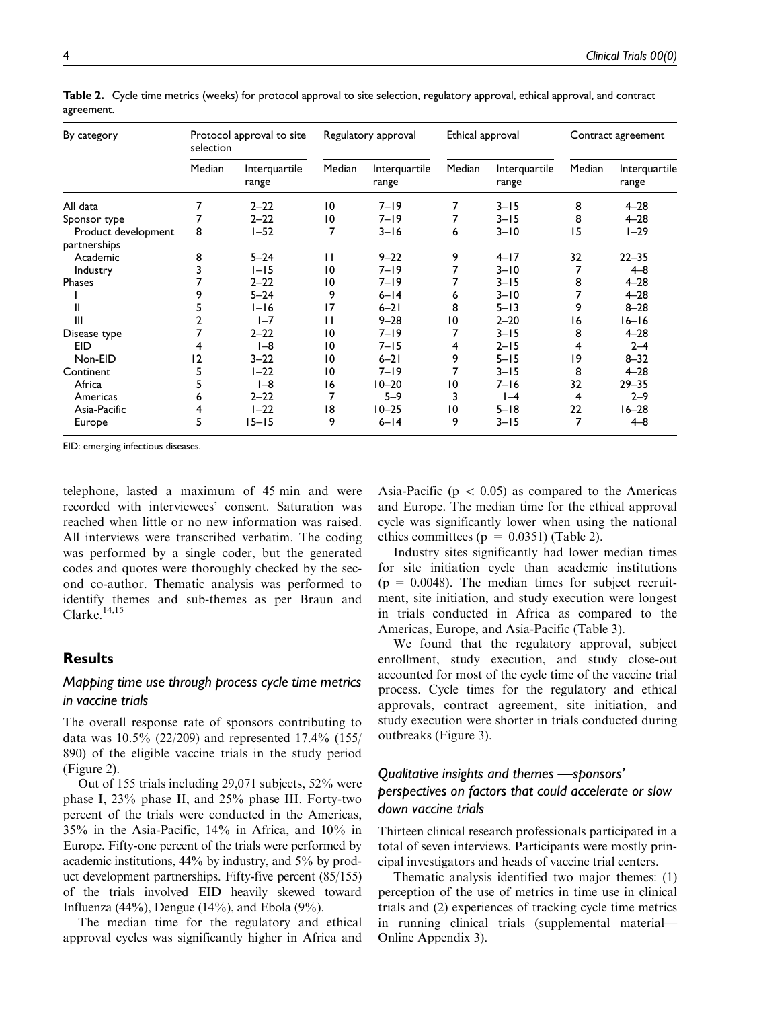| By category                         | selection | Protocol approval to site |              | Regulatory approval    | Ethical approval |                        |        | Contract agreement     |
|-------------------------------------|-----------|---------------------------|--------------|------------------------|------------------|------------------------|--------|------------------------|
|                                     | Median    | Interquartile<br>range    | Median       | Interquartile<br>range | Median           | Interquartile<br>range | Median | Interquartile<br>range |
| All data                            | 7         | $2 - 22$                  | 10           | $7 - 19$               | 7                | $3 - 15$               | 8      | $4 - 28$               |
| Sponsor type                        | 7         | $2 - 22$                  | 10           | $7 - 19$               |                  | $3 - 15$               | 8      | $4 - 28$               |
| Product development<br>partnerships | 8         | $1 - 52$                  |              | $3 - 16$               | 6                | $3 - 10$               | 15     | $1 - 29$               |
| Academic                            | 8         | $5 - 24$                  | $\mathbf{H}$ | $9 - 22$               | 9                | $4 - 17$               | 32     | $22 - 35$              |
| Industry                            |           | $1 - 15$                  | 10           | $7 - 19$               | 7                | $3 - 10$               |        | $4 - 8$                |
| Phases                              |           | $2 - 22$                  | 10           | $7 - 19$               |                  | $3 - 15$               | 8      | $4 - 28$               |
|                                     | 9         | $5 - 24$                  | 9            | $6 - 14$               | 6                | $3 - 10$               |        | $4 - 28$               |
| Ш                                   |           | $I-I6$                    | 17           | $6 - 21$               | 8                | $5 - 13$               | 9      | $8 - 28$               |
| III                                 |           | $I - 7$                   | П            | $9 - 28$               | 10               | $2 - 20$               | 16     | $16 - 16$              |
| Disease type                        |           | $2 - 22$                  | 10           | $7 - 19$               |                  | $3 - 15$               | 8      | $4 - 28$               |
| <b>EID</b>                          | 4         | $I - 8$                   | 10           | $7 - 15$               | 4                | $2 - 15$               | 4      | $2 - 4$                |
| Non-EID                             | 2         | $3 - 22$                  | 10           | $6 - 21$               | 9                | $5 - 15$               | 19     | $8 - 32$               |
| Continent                           | 5         | $1 - 22$                  | 10           | $7 - 19$               |                  | $3 - 15$               | 8      | $4 - 28$               |
| Africa                              |           | $I - 8$                   | 16           | $10 - 20$              | 10               | $7 - 16$               | 32     | $29 - 35$              |
| Americas                            | 6         | $2 - 22$                  |              | $5 - 9$                | 3                | $I-4$                  | 4      | $2 - 9$                |
| Asia-Pacific                        | 4         | $1 - 22$                  | 18           | $10 - 25$              | $\overline{0}$   | $5 - 18$               | 22     | $16 - 28$              |
| Europe                              | 5         | $15 - 15$                 | 9            | $6 - 14$               | 9                | $3 - 15$               | 7      | $4 - 8$                |

Table 2. Cycle time metrics (weeks) for protocol approval to site selection, regulatory approval, ethical approval, and contract agreement.

EID: emerging infectious diseases.

telephone, lasted a maximum of 45 min and were recorded with interviewees' consent. Saturation was reached when little or no new information was raised. All interviews were transcribed verbatim. The coding was performed by a single coder, but the generated codes and quotes were thoroughly checked by the second co-author. Thematic analysis was performed to identify themes and sub-themes as per Braun and Clarke. $14,15$ 

## **Results**

# Mapping time use through process cycle time metrics in vaccine trials

The overall response rate of sponsors contributing to data was 10.5% (22/209) and represented 17.4% (155/ 890) of the eligible vaccine trials in the study period (Figure 2).

Out of 155 trials including 29,071 subjects, 52% were phase I, 23% phase II, and 25% phase III. Forty-two percent of the trials were conducted in the Americas, 35% in the Asia-Pacific, 14% in Africa, and 10% in Europe. Fifty-one percent of the trials were performed by academic institutions, 44% by industry, and 5% by product development partnerships. Fifty-five percent (85/155) of the trials involved EID heavily skewed toward Influenza  $(44\%)$ , Dengue  $(14\%)$ , and Ebola  $(9\%)$ .

The median time for the regulatory and ethical approval cycles was significantly higher in Africa and

Asia-Pacific ( $p \, < \, 0.05$ ) as compared to the Americas and Europe. The median time for the ethical approval cycle was significantly lower when using the national ethics committees ( $p = 0.0351$ ) (Table 2).

Industry sites significantly had lower median times for site initiation cycle than academic institutions  $(p = 0.0048)$ . The median times for subject recruitment, site initiation, and study execution were longest in trials conducted in Africa as compared to the Americas, Europe, and Asia-Pacific (Table 3).

We found that the regulatory approval, subject enrollment, study execution, and study close-out accounted for most of the cycle time of the vaccine trial process. Cycle times for the regulatory and ethical approvals, contract agreement, site initiation, and study execution were shorter in trials conducted during outbreaks (Figure 3).

# Qualitative insights and themes —sponsors' perspectives on factors that could accelerate or slow down vaccine trials

Thirteen clinical research professionals participated in a total of seven interviews. Participants were mostly principal investigators and heads of vaccine trial centers.

Thematic analysis identified two major themes: (1) perception of the use of metrics in time use in clinical trials and (2) experiences of tracking cycle time metrics in running clinical trials (supplemental material— Online Appendix 3).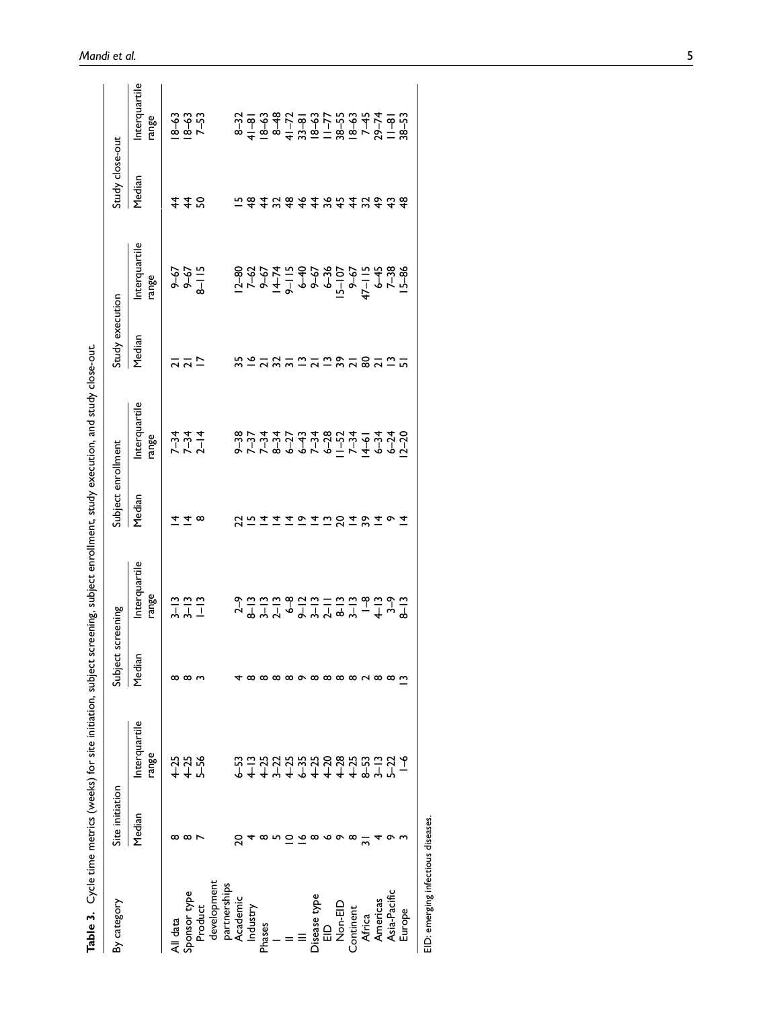| By category                                 | Site initiation |                                                                               | Subject | screening               | Subject enrollment   |                        | study execution |                                                                                                                                                                                                                                                                                                                     | Study close-out |                                                                                                                                                                                                                                                                                                         |
|---------------------------------------------|-----------------|-------------------------------------------------------------------------------|---------|-------------------------|----------------------|------------------------|-----------------|---------------------------------------------------------------------------------------------------------------------------------------------------------------------------------------------------------------------------------------------------------------------------------------------------------------------|-----------------|---------------------------------------------------------------------------------------------------------------------------------------------------------------------------------------------------------------------------------------------------------------------------------------------------------|
|                                             | Median          | Interquartile<br>range                                                        | Median  | Interquartile<br>range  | Median               | Interquartile<br>range | Median          | Interquartile<br>range                                                                                                                                                                                                                                                                                              | Median          | nterquartile<br>range                                                                                                                                                                                                                                                                                   |
| II data                                     |                 |                                                                               |         |                         |                      |                        |                 |                                                                                                                                                                                                                                                                                                                     |                 |                                                                                                                                                                                                                                                                                                         |
| Sponsor type                                |                 |                                                                               |         |                         |                      |                        |                 |                                                                                                                                                                                                                                                                                                                     | 448             |                                                                                                                                                                                                                                                                                                         |
| <b>Product</b>                              |                 | $425$<br>$425$                                                                |         | $3 - 7 - 7$<br>$-7 - 7$ |                      | $7 - 34$<br>$7 - 14$   |                 | $-67$<br>$-6$<br>$-6$<br>$-6$<br>$-6$<br>$-6$<br>$-6$                                                                                                                                                                                                                                                               |                 | $\frac{8-33}{8-53}$                                                                                                                                                                                                                                                                                     |
| development                                 |                 |                                                                               |         |                         |                      |                        |                 |                                                                                                                                                                                                                                                                                                                     |                 |                                                                                                                                                                                                                                                                                                         |
| partnerships                                |                 |                                                                               |         |                         |                      |                        |                 |                                                                                                                                                                                                                                                                                                                     |                 |                                                                                                                                                                                                                                                                                                         |
| Academic                                    |                 |                                                                               |         |                         |                      |                        |                 |                                                                                                                                                                                                                                                                                                                     |                 |                                                                                                                                                                                                                                                                                                         |
|                                             |                 |                                                                               |         |                         | ສ ≌                  |                        |                 |                                                                                                                                                                                                                                                                                                                     |                 |                                                                                                                                                                                                                                                                                                         |
| Industry<br>Phases                          |                 |                                                                               |         |                         |                      |                        |                 |                                                                                                                                                                                                                                                                                                                     |                 |                                                                                                                                                                                                                                                                                                         |
|                                             |                 |                                                                               |         |                         |                      |                        |                 |                                                                                                                                                                                                                                                                                                                     |                 |                                                                                                                                                                                                                                                                                                         |
|                                             |                 |                                                                               |         |                         | $\overline{r}$       |                        |                 |                                                                                                                                                                                                                                                                                                                     |                 |                                                                                                                                                                                                                                                                                                         |
|                                             |                 | c<br>2 = 2 2 2 2 2 2 2 2 2 2 2 2 2 4 4<br>2 = 2 2 2 2 2 2 2 2 2 2 2 2 2 2 2 2 |         | ᡨᢁᡋ᠅ᢀᡩ᠅ᡦᢩ᠅<br>ᡋᢅ᠅᠅᠅᠅᠅   | $\tilde{\mathbf{c}}$ | 87778997917499799      |                 | $\frac{1}{5}$ $\frac{1}{5}$ $\frac{1}{5}$ $\frac{1}{5}$ $\frac{1}{5}$ $\frac{1}{5}$ $\frac{1}{5}$ $\frac{1}{5}$ $\frac{1}{5}$ $\frac{1}{5}$ $\frac{1}{5}$ $\frac{1}{5}$ $\frac{1}{5}$ $\frac{1}{5}$ $\frac{1}{5}$ $\frac{1}{5}$ $\frac{1}{5}$ $\frac{1}{5}$ $\frac{1}{5}$ $\frac{1}{5}$ $\frac{1}{5}$ $\frac{1}{5}$ |                 | $a + a$ $a + a$ $b + a$ $c + a$ $d + a$ $d + a$ $e + a$ $f + a$ $f + a$ $f + a$ $f + a$ $f + a$ $f + a$ $f + a$ $f + a$ $f + a$ $f + a$ $f + a$ $f + a$ $f + a$ $f + a$ $f + a$ $f + a$ $f + a$ $f + a$ $f + a$ $f + a$ $f + a$ $f + a$ $f + a$ $f + a$ $f + a$ $f + a$ $f + a$ $f + a$ $f + a$ $f + a$ |
| Jisease type<br>EID<br>Non-EID<br>Continent |                 |                                                                               |         |                         | エコロエマエ               |                        |                 |                                                                                                                                                                                                                                                                                                                     |                 |                                                                                                                                                                                                                                                                                                         |
|                                             |                 |                                                                               |         |                         |                      |                        |                 |                                                                                                                                                                                                                                                                                                                     |                 |                                                                                                                                                                                                                                                                                                         |
|                                             |                 |                                                                               |         |                         |                      |                        |                 |                                                                                                                                                                                                                                                                                                                     |                 |                                                                                                                                                                                                                                                                                                         |
|                                             |                 |                                                                               |         |                         |                      |                        |                 |                                                                                                                                                                                                                                                                                                                     |                 |                                                                                                                                                                                                                                                                                                         |
| Africa                                      |                 |                                                                               |         |                         |                      |                        | និគនិគ          |                                                                                                                                                                                                                                                                                                                     |                 |                                                                                                                                                                                                                                                                                                         |
|                                             |                 |                                                                               |         |                         |                      |                        |                 |                                                                                                                                                                                                                                                                                                                     |                 |                                                                                                                                                                                                                                                                                                         |
| Americas<br>Asia-Pacific                    |                 |                                                                               |         |                         | o                    |                        |                 |                                                                                                                                                                                                                                                                                                                     |                 |                                                                                                                                                                                                                                                                                                         |
| Europe                                      |                 |                                                                               |         |                         |                      |                        |                 |                                                                                                                                                                                                                                                                                                                     |                 |                                                                                                                                                                                                                                                                                                         |
|                                             |                 |                                                                               |         |                         |                      |                        |                 |                                                                                                                                                                                                                                                                                                                     |                 |                                                                                                                                                                                                                                                                                                         |

Table 3. Cycle time metrics (weeks) for site initiation, subject screening, subject enrollment, study execution, and study close-out. Table 3. Cycle time metrics (weeks) for site initiation, subject screening, subject enrollment, study execution, and study close-out.

EID: emerging infectious diseases. EID: emerging infectious diseases.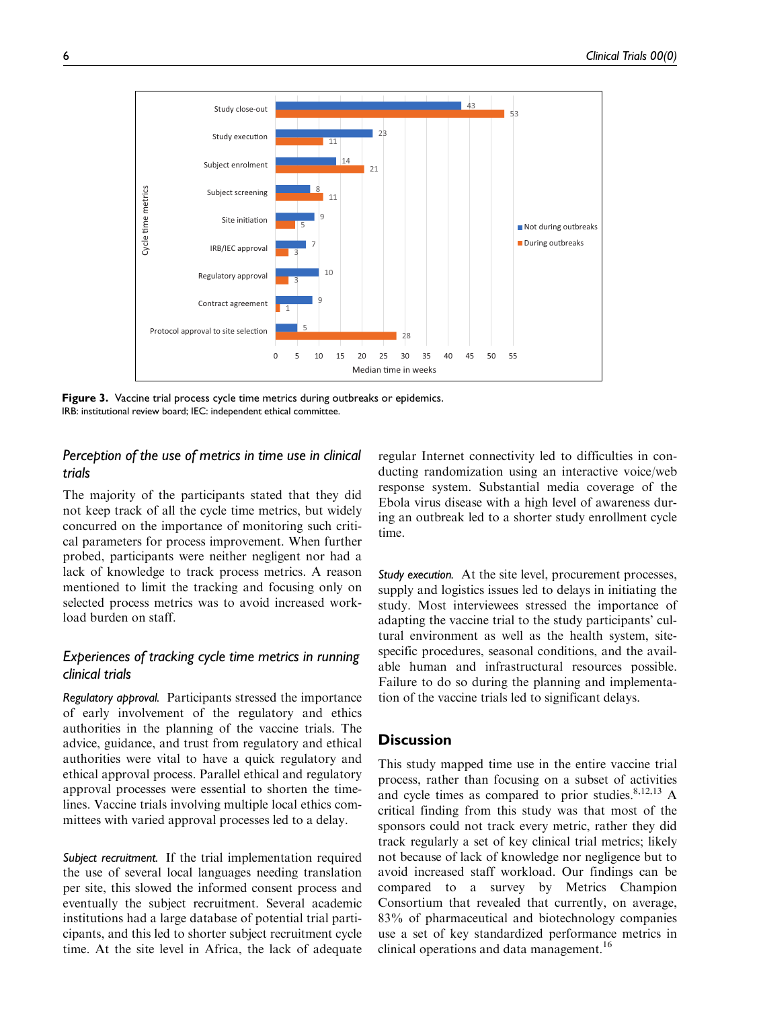

Figure 3. Vaccine trial process cycle time metrics during outbreaks or epidemics. IRB: institutional review board; IEC: independent ethical committee.

# Perception of the use of metrics in time use in clinical trials

The majority of the participants stated that they did not keep track of all the cycle time metrics, but widely concurred on the importance of monitoring such critical parameters for process improvement. When further probed, participants were neither negligent nor had a lack of knowledge to track process metrics. A reason mentioned to limit the tracking and focusing only on selected process metrics was to avoid increased workload burden on staff.

# Experiences of tracking cycle time metrics in running clinical trials

Regulatory approval. Participants stressed the importance of early involvement of the regulatory and ethics authorities in the planning of the vaccine trials. The advice, guidance, and trust from regulatory and ethical authorities were vital to have a quick regulatory and ethical approval process. Parallel ethical and regulatory approval processes were essential to shorten the timelines. Vaccine trials involving multiple local ethics committees with varied approval processes led to a delay.

Subject recruitment. If the trial implementation required the use of several local languages needing translation per site, this slowed the informed consent process and eventually the subject recruitment. Several academic institutions had a large database of potential trial participants, and this led to shorter subject recruitment cycle time. At the site level in Africa, the lack of adequate regular Internet connectivity led to difficulties in conducting randomization using an interactive voice/web response system. Substantial media coverage of the Ebola virus disease with a high level of awareness during an outbreak led to a shorter study enrollment cycle time.

Study execution. At the site level, procurement processes, supply and logistics issues led to delays in initiating the study. Most interviewees stressed the importance of adapting the vaccine trial to the study participants' cultural environment as well as the health system, sitespecific procedures, seasonal conditions, and the available human and infrastructural resources possible. Failure to do so during the planning and implementation of the vaccine trials led to significant delays.

# **Discussion**

This study mapped time use in the entire vaccine trial process, rather than focusing on a subset of activities and cycle times as compared to prior studies.  $8,12,13$  A critical finding from this study was that most of the sponsors could not track every metric, rather they did track regularly a set of key clinical trial metrics; likely not because of lack of knowledge nor negligence but to avoid increased staff workload. Our findings can be compared to a survey by Metrics Champion Consortium that revealed that currently, on average, 83% of pharmaceutical and biotechnology companies use a set of key standardized performance metrics in clinical operations and data management.<sup>16</sup>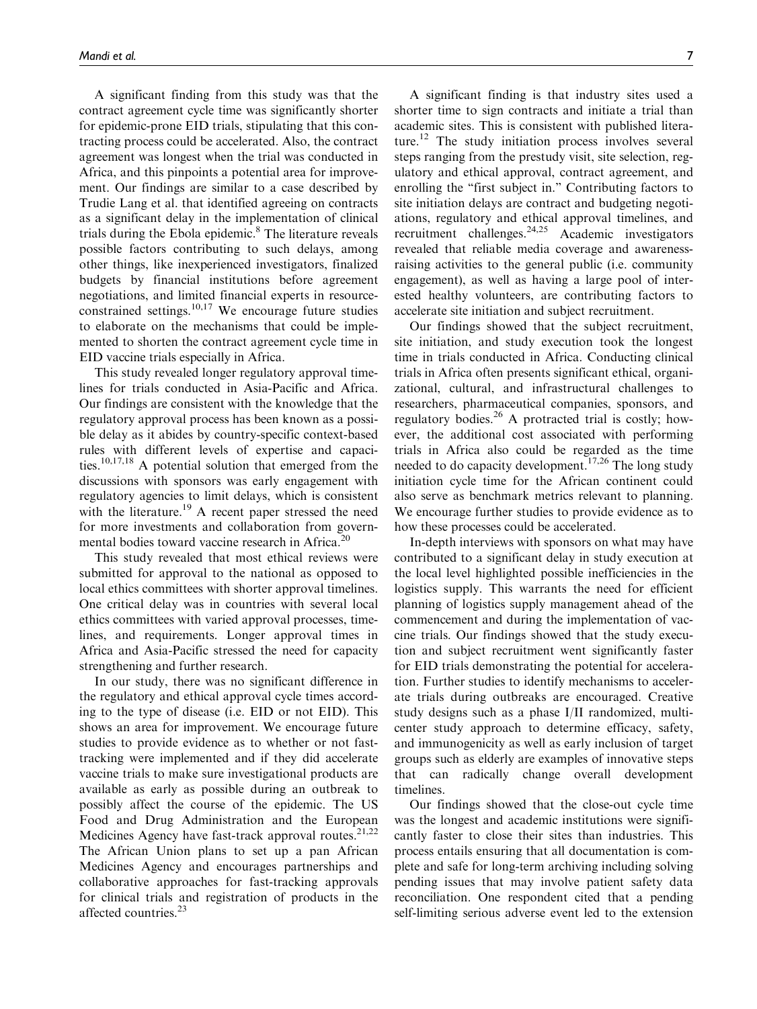A significant finding from this study was that the contract agreement cycle time was significantly shorter for epidemic-prone EID trials, stipulating that this contracting process could be accelerated. Also, the contract agreement was longest when the trial was conducted in Africa, and this pinpoints a potential area for improvement. Our findings are similar to a case described by Trudie Lang et al. that identified agreeing on contracts as a significant delay in the implementation of clinical trials during the Ebola epidemic. $8$  The literature reveals possible factors contributing to such delays, among other things, like inexperienced investigators, finalized budgets by financial institutions before agreement negotiations, and limited financial experts in resourceconstrained settings. $10,17$  We encourage future studies to elaborate on the mechanisms that could be implemented to shorten the contract agreement cycle time in EID vaccine trials especially in Africa.

This study revealed longer regulatory approval timelines for trials conducted in Asia-Pacific and Africa. Our findings are consistent with the knowledge that the regulatory approval process has been known as a possible delay as it abides by country-specific context-based rules with different levels of expertise and capacities.10,17,18 A potential solution that emerged from the discussions with sponsors was early engagement with regulatory agencies to limit delays, which is consistent with the literature.<sup>19</sup> A recent paper stressed the need for more investments and collaboration from governmental bodies toward vaccine research in Africa.<sup>20</sup>

This study revealed that most ethical reviews were submitted for approval to the national as opposed to local ethics committees with shorter approval timelines. One critical delay was in countries with several local ethics committees with varied approval processes, timelines, and requirements. Longer approval times in Africa and Asia-Pacific stressed the need for capacity strengthening and further research.

In our study, there was no significant difference in the regulatory and ethical approval cycle times according to the type of disease (i.e. EID or not EID). This shows an area for improvement. We encourage future studies to provide evidence as to whether or not fasttracking were implemented and if they did accelerate vaccine trials to make sure investigational products are available as early as possible during an outbreak to possibly affect the course of the epidemic. The US Food and Drug Administration and the European Medicines Agency have fast-track approval routes.<sup>21,22</sup> The African Union plans to set up a pan African Medicines Agency and encourages partnerships and collaborative approaches for fast-tracking approvals for clinical trials and registration of products in the affected countries.<sup>23</sup>

A significant finding is that industry sites used a shorter time to sign contracts and initiate a trial than academic sites. This is consistent with published literature.<sup>12</sup> The study initiation process involves several steps ranging from the prestudy visit, site selection, regulatory and ethical approval, contract agreement, and enrolling the "first subject in." Contributing factors to site initiation delays are contract and budgeting negotiations, regulatory and ethical approval timelines, and recruitment challenges. $24,25$  Academic investigators revealed that reliable media coverage and awarenessraising activities to the general public (i.e. community engagement), as well as having a large pool of interested healthy volunteers, are contributing factors to accelerate site initiation and subject recruitment.

Our findings showed that the subject recruitment, site initiation, and study execution took the longest time in trials conducted in Africa. Conducting clinical trials in Africa often presents significant ethical, organizational, cultural, and infrastructural challenges to researchers, pharmaceutical companies, sponsors, and regulatory bodies.<sup>26</sup> A protracted trial is costly; however, the additional cost associated with performing trials in Africa also could be regarded as the time needed to do capacity development.<sup>17,26</sup> The long study initiation cycle time for the African continent could also serve as benchmark metrics relevant to planning. We encourage further studies to provide evidence as to how these processes could be accelerated.

In-depth interviews with sponsors on what may have contributed to a significant delay in study execution at the local level highlighted possible inefficiencies in the logistics supply. This warrants the need for efficient planning of logistics supply management ahead of the commencement and during the implementation of vaccine trials. Our findings showed that the study execution and subject recruitment went significantly faster for EID trials demonstrating the potential for acceleration. Further studies to identify mechanisms to accelerate trials during outbreaks are encouraged. Creative study designs such as a phase I/II randomized, multicenter study approach to determine efficacy, safety, and immunogenicity as well as early inclusion of target groups such as elderly are examples of innovative steps that can radically change overall development timelines.

Our findings showed that the close-out cycle time was the longest and academic institutions were significantly faster to close their sites than industries. This process entails ensuring that all documentation is complete and safe for long-term archiving including solving pending issues that may involve patient safety data reconciliation. One respondent cited that a pending self-limiting serious adverse event led to the extension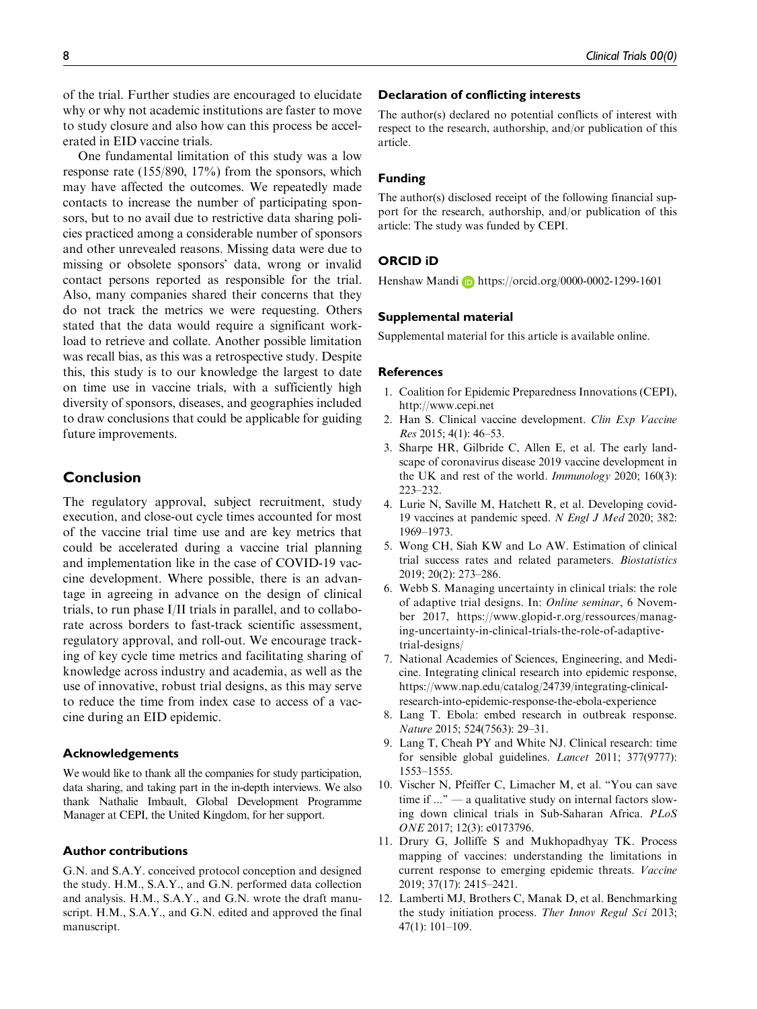One fundamental limitation of this study was a low response rate (155/890, 17%) from the sponsors, which may have affected the outcomes. We repeatedly made contacts to increase the number of participating sponsors, but to no avail due to restrictive data sharing policies practiced among a considerable number of sponsors and other unrevealed reasons. Missing data were due to missing or obsolete sponsors' data, wrong or invalid contact persons reported as responsible for the trial. Also, many companies shared their concerns that they do not track the metrics we were requesting. Others stated that the data would require a significant workload to retrieve and collate. Another possible limitation was recall bias, as this was a retrospective study. Despite this, this study is to our knowledge the largest to date on time use in vaccine trials, with a sufficiently high diversity of sponsors, diseases, and geographies included to draw conclusions that could be applicable for guiding future improvements.

# Conclusion

The regulatory approval, subject recruitment, study execution, and close-out cycle times accounted for most of the vaccine trial time use and are key metrics that could be accelerated during a vaccine trial planning and implementation like in the case of COVID-19 vaccine development. Where possible, there is an advantage in agreeing in advance on the design of clinical trials, to run phase I/II trials in parallel, and to collaborate across borders to fast-track scientific assessment, regulatory approval, and roll-out. We encourage tracking of key cycle time metrics and facilitating sharing of knowledge across industry and academia, as well as the use of innovative, robust trial designs, as this may serve to reduce the time from index case to access of a vaccine during an EID epidemic.

### Acknowledgements

We would like to thank all the companies for study participation, data sharing, and taking part in the in-depth interviews. We also thank Nathalie Imbault, Global Development Programme Manager at CEPI, the United Kingdom, for her support.

### Author contributions

G.N. and S.A.Y. conceived protocol conception and designed the study. H.M., S.A.Y., and G.N. performed data collection and analysis. H.M., S.A.Y., and G.N. wrote the draft manuscript. H.M., S.A.Y., and G.N. edited and approved the final manuscript.

### Declaration of conflicting interests

The author(s) declared no potential conflicts of interest with respect to the research, authorship, and/or publication of this article.

### Funding

The author(s) disclosed receipt of the following financial support for the research, authorship, and/or publication of this article: The study was funded by CEPI.

### ORCID iD

Henshaw Mandi **b** <https://orcid.org/0000-0002-1299-1601>

### Supplemental material

Supplemental material for this article is available online.

#### References

- 1. Coalition for Epidemic Preparedness Innovations (CEPI), <http://www.cepi.net>
- 2. Han S. Clinical vaccine development. Clin Exp Vaccine Res 2015; 4(1): 46–53.
- 3. Sharpe HR, Gilbride C, Allen E, et al. The early landscape of coronavirus disease 2019 vaccine development in the UK and rest of the world. Immunology 2020; 160(3): 223–232.
- 4. Lurie N, Saville M, Hatchett R, et al. Developing covid-19 vaccines at pandemic speed. N Engl J Med 2020; 382: 1969–1973.
- 5. Wong CH, Siah KW and Lo AW. Estimation of clinical trial success rates and related parameters. Biostatistics 2019; 20(2): 273–286.
- 6. Webb S. Managing uncertainty in clinical trials: the role of adaptive trial designs. In: Online seminar, 6 November 2017, https://www.glopid-r.org/ressources/managing-uncertainty-in-clinical-trials-the-role-of-adaptivetrial-designs/
- 7. National Academies of Sciences, Engineering, and Medicine. Integrating clinical research into epidemic response, [https://www.nap.edu/catalog/24739/integrating-clinical](https://www.nap.edu/catalog/24739/integrating-clinical-research-into-epidemic-response-the-ebola-experience)[research-into-epidemic-response-the-ebola-experience](https://www.nap.edu/catalog/24739/integrating-clinical-research-into-epidemic-response-the-ebola-experience)
- 8. Lang T. Ebola: embed research in outbreak response. Nature 2015; 524(7563): 29–31.
- 9. Lang T, Cheah PY and White NJ. Clinical research: time for sensible global guidelines. Lancet 2011; 377(9777): 1553–1555.
- 10. Vischer N, Pfeiffer C, Limacher M, et al. ''You can save time if ..." — a qualitative study on internal factors slowing down clinical trials in Sub-Saharan Africa. PLoS ONE 2017; 12(3): e0173796.
- 11. Drury G, Jolliffe S and Mukhopadhyay TK. Process mapping of vaccines: understanding the limitations in current response to emerging epidemic threats. Vaccine 2019; 37(17): 2415–2421.
- 12. Lamberti MJ, Brothers C, Manak D, et al. Benchmarking the study initiation process. Ther Innov Regul Sci 2013; 47(1): 101–109.